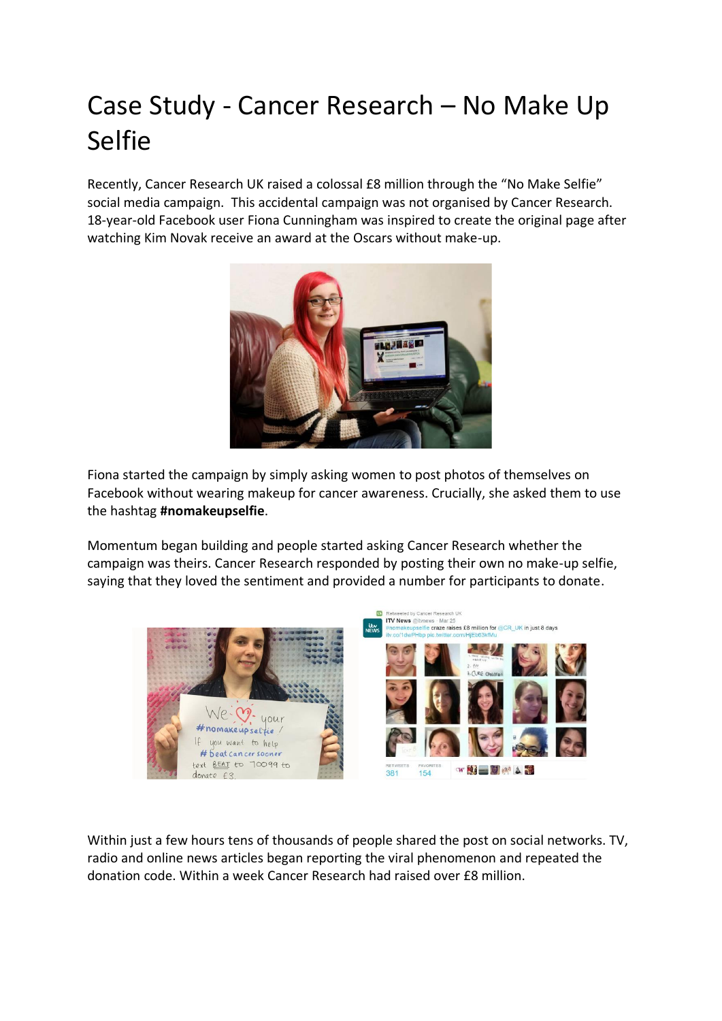## Case Study - Cancer Research – No Make Up Selfie

Recently, Cancer Research UK raised a colossal £8 million through the "No Make Selfie" social media campaign. This accidental campaign was not organised by Cancer Research. 18-year-old Facebook user Fiona Cunningham was inspired to create the original page after watching Kim Novak receive an award at the Oscars without make-up.



Fiona started the campaign by simply asking women to post photos of themselves on Facebook without wearing makeup for cancer awareness. Crucially, she asked them to use the hashtag **#nomakeupselfie**.

Momentum began building and people started asking Cancer Research whether the campaign was theirs. Cancer Research responded by posting their own no make-up selfie, saying that they loved the sentiment and provided a number for participants to donate.



Within just a few hours tens of thousands of people shared the post on social networks. TV, radio and online news articles began reporting the viral phenomenon and repeated the donation code. Within a week Cancer Research had raised over £8 million.